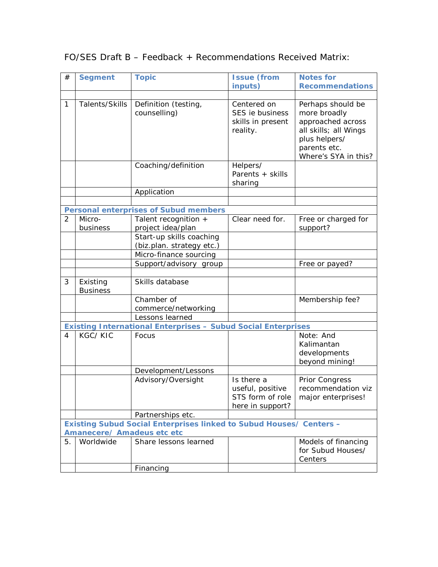| #                                                                          | <b>Segment</b>                                                       | <b>Topic</b>              | <b>Issue (from</b> | <b>Notes for</b>       |  |  |  |  |
|----------------------------------------------------------------------------|----------------------------------------------------------------------|---------------------------|--------------------|------------------------|--|--|--|--|
|                                                                            |                                                                      |                           | inputs)            | <b>Recommendations</b> |  |  |  |  |
|                                                                            |                                                                      |                           |                    |                        |  |  |  |  |
| $\mathbf{1}$                                                               | Talents/Skills                                                       | Definition (testing,      | Centered on        | Perhaps should be      |  |  |  |  |
|                                                                            |                                                                      | counselling)              | SES ie business    | more broadly           |  |  |  |  |
|                                                                            |                                                                      |                           | skills in present  | approached across      |  |  |  |  |
|                                                                            |                                                                      |                           | reality.           | all skills; all Wings  |  |  |  |  |
|                                                                            |                                                                      |                           |                    | plus helpers/          |  |  |  |  |
|                                                                            |                                                                      |                           |                    | parents etc.           |  |  |  |  |
|                                                                            |                                                                      |                           |                    | Where's SYA in this?   |  |  |  |  |
|                                                                            |                                                                      | Coaching/definition       | Helpers/           |                        |  |  |  |  |
|                                                                            |                                                                      |                           | Parents + skills   |                        |  |  |  |  |
|                                                                            |                                                                      |                           | sharing            |                        |  |  |  |  |
|                                                                            |                                                                      | Application               |                    |                        |  |  |  |  |
|                                                                            |                                                                      |                           |                    |                        |  |  |  |  |
|                                                                            | <b>Personal enterprises of Subud members</b>                         |                           |                    |                        |  |  |  |  |
| $\overline{2}$                                                             | Micro-                                                               | Talent recognition +      | Clear need for.    | Free or charged for    |  |  |  |  |
|                                                                            | business                                                             | project idea/plan         |                    | support?               |  |  |  |  |
|                                                                            |                                                                      | Start-up skills coaching  |                    |                        |  |  |  |  |
|                                                                            |                                                                      | (biz.plan. strategy etc.) |                    |                        |  |  |  |  |
|                                                                            |                                                                      | Micro-finance sourcing    |                    |                        |  |  |  |  |
|                                                                            |                                                                      | Support/advisory group    |                    | Free or payed?         |  |  |  |  |
|                                                                            |                                                                      |                           |                    |                        |  |  |  |  |
| 3                                                                          | Existing                                                             | Skills database           |                    |                        |  |  |  |  |
|                                                                            | <b>Business</b>                                                      |                           |                    |                        |  |  |  |  |
|                                                                            |                                                                      | Chamber of                |                    | Membership fee?        |  |  |  |  |
|                                                                            |                                                                      | commerce/networking       |                    |                        |  |  |  |  |
|                                                                            |                                                                      | Lessons learned           |                    |                        |  |  |  |  |
|                                                                            | <b>Existing International Enterprises - Subud Social Enterprises</b> |                           |                    |                        |  |  |  |  |
| 4                                                                          | <b>KGC/KIC</b>                                                       | Focus                     |                    | Note: And              |  |  |  |  |
|                                                                            |                                                                      |                           |                    | Kalimantan             |  |  |  |  |
|                                                                            |                                                                      |                           |                    | developments           |  |  |  |  |
|                                                                            |                                                                      |                           |                    | beyond mining!         |  |  |  |  |
|                                                                            |                                                                      | Development/Lessons       |                    |                        |  |  |  |  |
|                                                                            |                                                                      | Advisory/Oversight        | Is there a         | Prior Congress         |  |  |  |  |
|                                                                            |                                                                      |                           | useful, positive   | recommendation viz     |  |  |  |  |
|                                                                            |                                                                      |                           | STS form of role   | major enterprises!     |  |  |  |  |
|                                                                            |                                                                      |                           | here in support?   |                        |  |  |  |  |
|                                                                            |                                                                      | Partnerships etc.         |                    |                        |  |  |  |  |
| <b>Existing Subud Social Enterprises linked to Subud Houses/ Centers -</b> |                                                                      |                           |                    |                        |  |  |  |  |
|                                                                            | Amanecere/ Amadeus etc etc                                           |                           |                    |                        |  |  |  |  |
| 5.                                                                         | Worldwide                                                            | Share lessons learned     |                    | Models of financing    |  |  |  |  |
|                                                                            |                                                                      |                           |                    | for Subud Houses/      |  |  |  |  |
|                                                                            |                                                                      |                           |                    | Centers                |  |  |  |  |
|                                                                            |                                                                      | Financing                 |                    |                        |  |  |  |  |

## FO/SES Draft B – Feedback + Recommendations Received Matrix: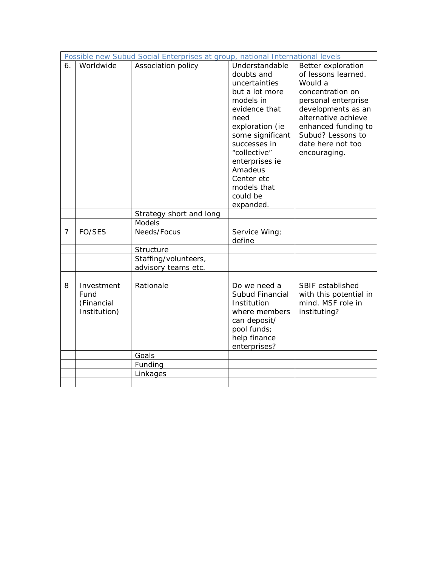| Possible new Subud Social Enterprises at group, national International levels |                                                  |                                             |                                                                                                                                                                                                                                                                 |                                                                                                                                                                                                                               |  |  |  |
|-------------------------------------------------------------------------------|--------------------------------------------------|---------------------------------------------|-----------------------------------------------------------------------------------------------------------------------------------------------------------------------------------------------------------------------------------------------------------------|-------------------------------------------------------------------------------------------------------------------------------------------------------------------------------------------------------------------------------|--|--|--|
| 6.                                                                            | Worldwide                                        | Association policy                          | Understandable<br>doubts and<br>uncertainties<br>but a lot more<br>models in<br>evidence that<br>need<br>exploration (ie<br>some significant<br>successes in<br>"collective"<br>enterprises ie<br>Amadeus<br>Center etc<br>models that<br>could be<br>expanded. | Better exploration<br>of lessons learned.<br>Would a<br>concentration on<br>personal enterprise<br>developments as an<br>alternative achieve<br>enhanced funding to<br>Subud? Lessons to<br>date here not too<br>encouraging. |  |  |  |
|                                                                               |                                                  | Strategy short and long                     |                                                                                                                                                                                                                                                                 |                                                                                                                                                                                                                               |  |  |  |
|                                                                               |                                                  | Models                                      |                                                                                                                                                                                                                                                                 |                                                                                                                                                                                                                               |  |  |  |
| $\overline{7}$                                                                | FO/SES                                           | Needs/Focus                                 | Service Wing;<br>define                                                                                                                                                                                                                                         |                                                                                                                                                                                                                               |  |  |  |
|                                                                               |                                                  | Structure                                   |                                                                                                                                                                                                                                                                 |                                                                                                                                                                                                                               |  |  |  |
|                                                                               |                                                  | Staffing/volunteers,<br>advisory teams etc. |                                                                                                                                                                                                                                                                 |                                                                                                                                                                                                                               |  |  |  |
|                                                                               |                                                  |                                             |                                                                                                                                                                                                                                                                 |                                                                                                                                                                                                                               |  |  |  |
| 8                                                                             | Investment<br>Fund<br>(Financial<br>Institution) | Rationale                                   | Do we need a<br>Subud Financial<br>Institution<br>where members<br>can deposit/<br>pool funds;<br>help finance<br>enterprises?                                                                                                                                  | SBIF established<br>with this potential in<br>mind. MSF role in<br>instituting?                                                                                                                                               |  |  |  |
|                                                                               |                                                  | Goals                                       |                                                                                                                                                                                                                                                                 |                                                                                                                                                                                                                               |  |  |  |
|                                                                               |                                                  | Funding                                     |                                                                                                                                                                                                                                                                 |                                                                                                                                                                                                                               |  |  |  |
|                                                                               |                                                  | Linkages                                    |                                                                                                                                                                                                                                                                 |                                                                                                                                                                                                                               |  |  |  |
|                                                                               |                                                  |                                             |                                                                                                                                                                                                                                                                 |                                                                                                                                                                                                                               |  |  |  |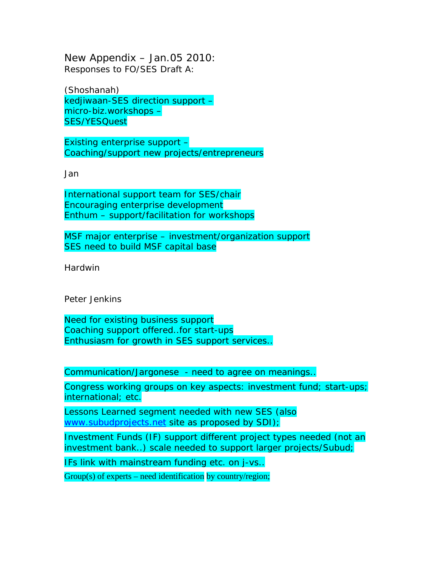New Appendix – Jan.05 2010: Responses to FO/SES Draft A:

(Shoshanah) kedjiwaan-SES direction support – micro-biz.workshops – SES/YESQuest

Existing enterprise support – Coaching/support new projects/entrepreneurs

Jan

International support team for SES/chair Encouraging enterprise development Enthum – support/facilitation for workshops

MSF major enterprise – investment/organization support SES need to build MSF capital base

Hardwin

Peter Jenkins

Need for existing business support Coaching support offered..for start-ups Enthusiasm for growth in SES support services..

Communication/Jargonese - need to agree on meanings..

Congress working groups on key aspects: investment fund; start-ups; international; etc.

Lessons Learned segment needed with new SES (also [www.subudprojects.net](http://www.subudprojects.net/) site as proposed by SDI);

Investment Funds (IF) support different project types needed (not an investment bank..) scale needed to support larger projects/Subud;

IFs link with mainstream funding etc. on j-vs..

 $Group(s)$  of experts – need identification by country/region;